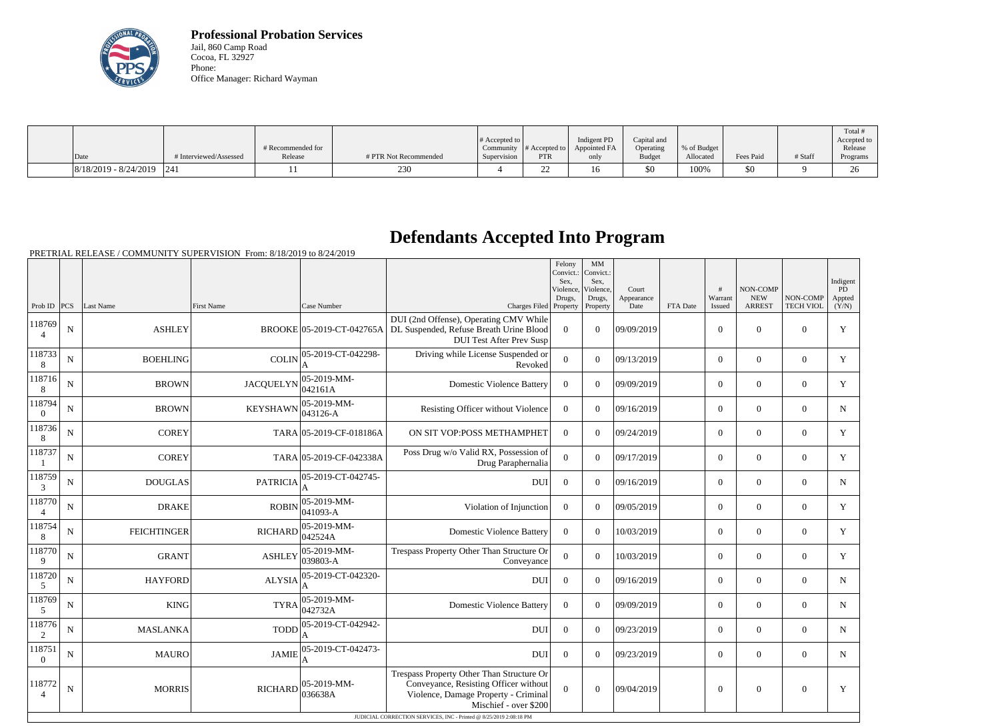

**Professional Probation Services** Jail, 860 Camp Road Cocoa, FL 32927 Phone: Office Manager: Richard Wayman

|                               |                        |                   |                       |                       |                          |              |               |             |           |         | Total #              |
|-------------------------------|------------------------|-------------------|-----------------------|-----------------------|--------------------------|--------------|---------------|-------------|-----------|---------|----------------------|
|                               |                        |                   |                       | # Accepted to $\vert$ |                          | Indigent PD  | Capital and   |             |           |         | Accepted to          |
|                               |                        | # Recommended for |                       | Community             | # Accepted to            | Appointed FA | Operating     | % of Budget |           |         | Release              |
| Date                          | # Interviewed/Assessed | Release           | # PTR Not Recommended | Supervision           | <b>PTR</b>               | only         | <b>Budget</b> | Allocated   | Fees Paid | # Staff | Programs             |
| $ 8/18/2019 - 8/24/2019 $ 241 |                        |                   | 230                   |                       | $\overline{\phantom{a}}$ | 16           | \$0           | 100%        | \$0       |         | $\overline{C}$<br>∠∪ |

## **Defendants Accepted Into Program**

PRETRIAL RELEASE / COMMUNITY SUPERVISION From: 8/18/2019 to 8/24/2019

|                          |             |                    |                   |                           |                                                                                                                                                                                                                           | Felony<br>Convict.:<br>Sex,<br>Violence.<br>Drugs, | MM<br>Convict.:<br>Sex,<br>Violence.<br>Drugs, | Court<br>Appearance |          | #<br>Warrant   | NON-COMP<br><b>NEW</b> | NON-COMP         | Indigent<br>PD<br>Appted |
|--------------------------|-------------|--------------------|-------------------|---------------------------|---------------------------------------------------------------------------------------------------------------------------------------------------------------------------------------------------------------------------|----------------------------------------------------|------------------------------------------------|---------------------|----------|----------------|------------------------|------------------|--------------------------|
| Prob ID $ PCS $          |             | Last Name          | <b>First Name</b> | Case Number               | Charges Filed Property                                                                                                                                                                                                    |                                                    | Property                                       | Date                | FTA Date | Issued         | <b>ARREST</b>          | <b>TECH VIOL</b> | (Y/N)                    |
| 118769<br>$\overline{4}$ | ${\bf N}$   | <b>ASHLEY</b>      |                   | BROOKE 05-2019-CT-042765A | DUI (2nd Offense), Operating CMV While<br>DL Suspended, Refuse Breath Urine Blood<br><b>DUI Test After Prev Susp</b>                                                                                                      | $\overline{0}$                                     | $\overline{0}$                                 | 09/09/2019          |          | $\overline{0}$ | $\theta$               | $\Omega$         | $\mathbf Y$              |
| 118733<br>8              | ${\bf N}$   | <b>BOEHLING</b>    | <b>COLIN</b>      | 05-2019-CT-042298-        | Driving while License Suspended or<br>Revoked                                                                                                                                                                             | $\overline{0}$                                     | $\Omega$                                       | 09/13/2019          |          | $\overline{0}$ | $\boldsymbol{0}$       | $\overline{0}$   | Y                        |
| 118716<br>8              | N           | <b>BROWN</b>       | <b>JACQUELYN</b>  | 05-2019-MM-<br>042161A    | <b>Domestic Violence Battery</b>                                                                                                                                                                                          | $\overline{0}$                                     | $\Omega$                                       | 09/09/2019          |          | $\overline{0}$ | $\overline{0}$         | $\overline{0}$   | $\mathbf Y$              |
| 118794<br>$\theta$       | N           | <b>BROWN</b>       | <b>KEYSHAWN</b>   | 05-2019-MM-<br>043126-A   | Resisting Officer without Violence                                                                                                                                                                                        | $\overline{0}$                                     | $\Omega$                                       | 09/16/2019          |          | $\overline{0}$ | $\boldsymbol{0}$       | $\overline{0}$   | $\mathbf N$              |
| 118736<br>8              | N           | <b>COREY</b>       |                   | TARA 05-2019-CF-018186A   | ON SIT VOP:POSS METHAMPHET                                                                                                                                                                                                | $\overline{0}$                                     | $\Omega$                                       | 09/24/2019          |          | $\overline{0}$ | $\boldsymbol{0}$       | $\overline{0}$   | $\mathbf Y$              |
| 118737                   | ${\bf N}$   | <b>COREY</b>       |                   | TARA 05-2019-CF-042338A   | Poss Drug w/o Valid RX, Possession of<br>Drug Paraphernalia                                                                                                                                                               | $\overline{0}$                                     | $\overline{0}$                                 | 09/17/2019          |          | $\overline{0}$ | $\boldsymbol{0}$       | $\overline{0}$   | $\mathbf Y$              |
| 118759<br>3              | $\mathbf N$ | <b>DOUGLAS</b>     | <b>PATRICIA</b>   | 05-2019-CT-042745-        | <b>DUI</b>                                                                                                                                                                                                                | $\boldsymbol{0}$                                   | $\Omega$                                       | 09/16/2019          |          | $\overline{0}$ | $\overline{0}$         | $\overline{0}$   | $\mathbf N$              |
| 118770<br>$\overline{4}$ | N           | <b>DRAKE</b>       | <b>ROBIN</b>      | 05-2019-MM-<br>041093-A   | Violation of Injunction                                                                                                                                                                                                   | $\boldsymbol{0}$                                   | $\Omega$                                       | 09/05/2019          |          | $\overline{0}$ | $\overline{0}$         | $\overline{0}$   | Y                        |
| 118754<br>8              | N           | <b>FEICHTINGER</b> | <b>RICHARD</b>    | 05-2019-MM-<br>042524A    | <b>Domestic Violence Battery</b>                                                                                                                                                                                          | $\overline{0}$                                     | $\Omega$                                       | 10/03/2019          |          | $\overline{0}$ | $\mathbf{0}$           | $\overline{0}$   | Y                        |
| 118770<br>9              | N           | <b>GRANT</b>       | <b>ASHLEY</b>     | 05-2019-MM-<br>039803-A   | Trespass Property Other Than Structure Or<br>Conveyance                                                                                                                                                                   | $\overline{0}$                                     | $\overline{0}$                                 | 10/03/2019          |          | $\overline{0}$ | $\mathbf{0}$           | $\overline{0}$   | Y                        |
| 118720<br>5              | ${\bf N}$   | <b>HAYFORD</b>     | <b>ALYSIA</b>     | 05-2019-CT-042320-        | <b>DUI</b>                                                                                                                                                                                                                | $\boldsymbol{0}$                                   | $\Omega$                                       | 09/16/2019          |          | $\overline{0}$ | $\mathbf{0}$           | $\overline{0}$   | $\mathbf N$              |
| 118769<br>5              | $\mathbf N$ | <b>KING</b>        | <b>TYRA</b>       | 05-2019-MM-<br>042732A    | <b>Domestic Violence Battery</b>                                                                                                                                                                                          | $\boldsymbol{0}$                                   | $\Omega$                                       | 09/09/2019          |          | $\overline{0}$ | $\overline{0}$         | $\overline{0}$   | $\mathbf N$              |
| 118776<br>2              | N           | <b>MASLANKA</b>    | <b>TODD</b>       | 05-2019-CT-042942-        | <b>DUI</b>                                                                                                                                                                                                                | $\boldsymbol{0}$                                   | $\Omega$                                       | 09/23/2019          |          | $\overline{0}$ | $\overline{0}$         | $\overline{0}$   | $\mathbf N$              |
| 118751<br>$\theta$       | N           | <b>MAURO</b>       | <b>JAMIE</b>      | 05-2019-CT-042473-        | <b>DUI</b>                                                                                                                                                                                                                | $\boldsymbol{0}$                                   | $\Omega$                                       | 09/23/2019          |          | $\overline{0}$ | $\overline{0}$         | $\overline{0}$   | $\mathbf N$              |
| 118772                   | ${\bf N}$   | <b>MORRIS</b>      | <b>RICHARD</b>    | $ 05-2019-MM-$<br>036638A | Trespass Property Other Than Structure Or<br>Conveyance, Resisting Officer without<br>Violence, Damage Property - Criminal<br>Mischief - over \$200<br>JUDICIAL CORRECTION SERVICES, INC - Printed @ 8/25/2019 2:08:18 PM | $\overline{0}$                                     | $\mathbf{0}$                                   | 09/04/2019          |          | $\mathbf{0}$   | $\boldsymbol{0}$       | $\boldsymbol{0}$ | $\mathbf Y$              |